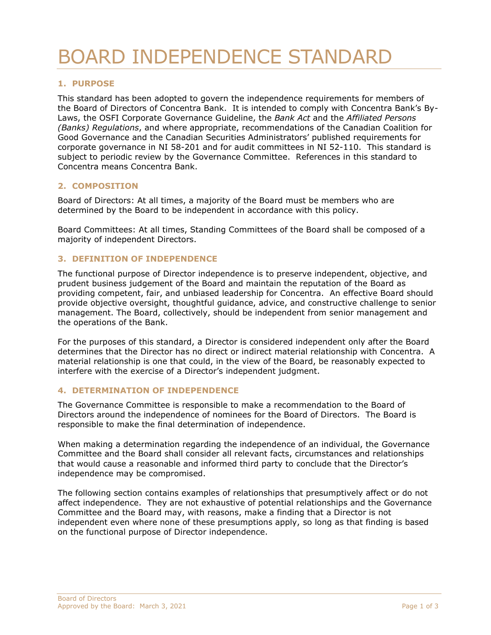# BOARD INDEPENDENCE STANDARD

## **1. PURPOSE**

This standard has been adopted to govern the independence requirements for members of the Board of Directors of Concentra Bank. It is intended to comply with Concentra Bank's By-Laws, the OSFI Corporate Governance Guideline, the *Bank Act* and the *Affiliated Persons (Banks) Regulations*, and where appropriate, recommendations of the Canadian Coalition for Good Governance and the Canadian Securities Administrators' published requirements for corporate governance in NI 58-201 and for audit committees in NI 52-110. This standard is subject to periodic review by the Governance Committee. References in this standard to Concentra means Concentra Bank.

## **2. COMPOSITION**

Board of Directors: At all times, a majority of the Board must be members who are determined by the Board to be independent in accordance with this policy.

Board Committees: At all times, Standing Committees of the Board shall be composed of a majority of independent Directors.

#### **3. DEFINITION OF INDEPENDENCE**

The functional purpose of Director independence is to preserve independent, objective, and prudent business judgement of the Board and maintain the reputation of the Board as providing competent, fair, and unbiased leadership for Concentra. An effective Board should provide objective oversight, thoughtful guidance, advice, and constructive challenge to senior management. The Board, collectively, should be independent from senior management and the operations of the Bank.

For the purposes of this standard, a Director is considered independent only after the Board determines that the Director has no direct or indirect material relationship with Concentra. A material relationship is one that could, in the view of the Board, be reasonably expected to interfere with the exercise of a Director's independent judgment.

## **4. DETERMINATION OF INDEPENDENCE**

The Governance Committee is responsible to make a recommendation to the Board of Directors around the independence of nominees for the Board of Directors. The Board is responsible to make the final determination of independence.

When making a determination regarding the independence of an individual, the Governance Committee and the Board shall consider all relevant facts, circumstances and relationships that would cause a reasonable and informed third party to conclude that the Director's independence may be compromised.

The following section contains examples of relationships that presumptively affect or do not affect independence. They are not exhaustive of potential relationships and the Governance Committee and the Board may, with reasons, make a finding that a Director is not independent even where none of these presumptions apply, so long as that finding is based on the functional purpose of Director independence.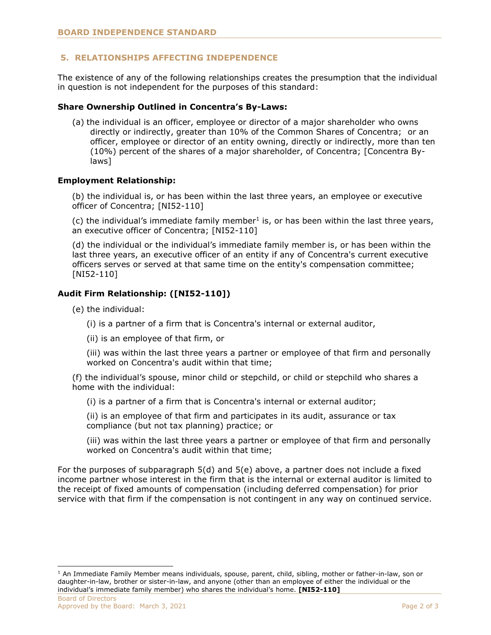# **5. RELATIONSHIPS AFFECTING INDEPENDENCE**

The existence of any of the following relationships creates the presumption that the individual in question is not independent for the purposes of this standard:

## **Share Ownership Outlined in Concentra's By-Laws:**

(a) the individual is an officer, employee or director of a major shareholder who owns directly or indirectly, greater than 10% of the Common Shares of Concentra; or an officer, employee or director of an entity owning, directly or indirectly, more than ten (10%) percent of the shares of a major shareholder, of Concentra; [Concentra Bylaws]

## **Employment Relationship:**

(b) the individual is, or has been within the last three years, an employee or executive officer of Concentra; [NI52-110]

 $(c)$  the individual's immediate family member<sup>1</sup> is, or has been within the last three years, an executive officer of Concentra; [NI52-110]

(d) the individual or the individual's immediate family member is, or has been within the last three years, an executive officer of an entity if any of Concentra's current executive officers serves or served at that same time on the entity's compensation committee; [NI52-110]

# **Audit Firm Relationship: ([NI52-110])**

- (e) the individual:
	- (i) is a partner of a firm that is Concentra's internal or external auditor,
	- (ii) is an employee of that firm, or

(iii) was within the last three years a partner or employee of that firm and personally worked on Concentra's audit within that time;

(f) the individual's spouse, minor child or stepchild, or child or stepchild who shares a home with the individual:

(i) is a partner of a firm that is Concentra's internal or external auditor;

(ii) is an employee of that firm and participates in its audit, assurance or tax compliance (but not tax planning) practice; or

(iii) was within the last three years a partner or employee of that firm and personally worked on Concentra's audit within that time;

For the purposes of subparagraph 5(d) and 5(e) above, a partner does not include a fixed income partner whose interest in the firm that is the internal or external auditor is limited to the receipt of fixed amounts of compensation (including deferred compensation) for prior service with that firm if the compensation is not contingent in any way on continued service.

 $1$  An Immediate Family Member means individuals, spouse, parent, child, sibling, mother or father-in-law, son or daughter-in-law, brother or sister-in-law, and anyone (other than an employee of either the individual or the individual's immediate family member) who shares the individual's home. **[NI52-110]**